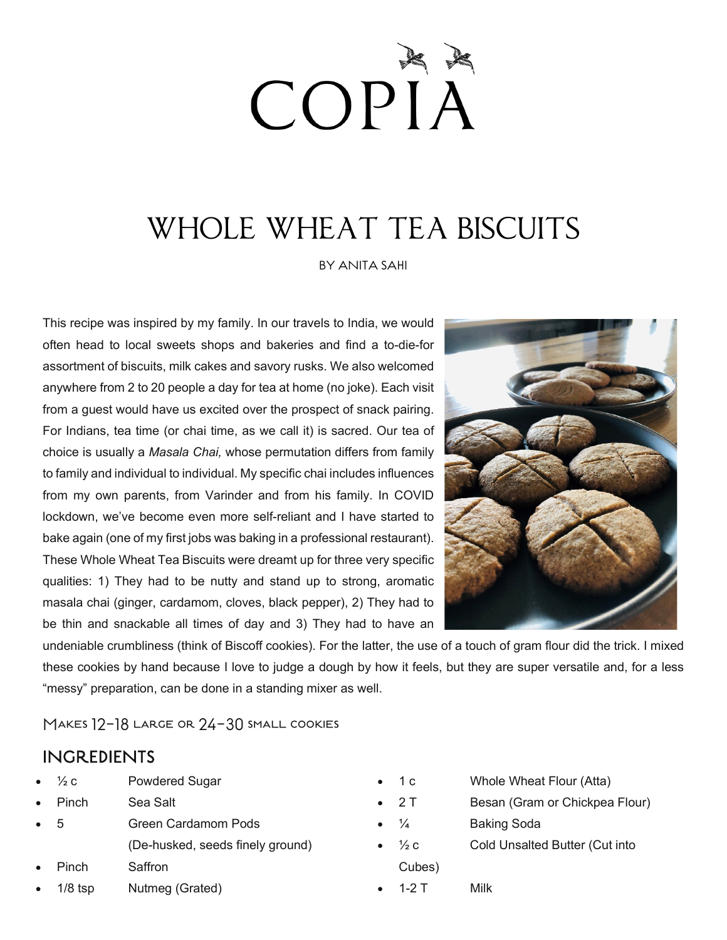# COPIA

## WHOLE WHEAT TEA BISCUITS

BY ANITA SAHI

This recipe was inspired by my family. In our travels to India, we would often head to local sweets shops and bakeries and find a to-die-for assortment of biscuits, milk cakes and savory rusks. We also welcomed anywhere from 2 to 20 people a day for tea at home (no joke). Each visit from a guest would have us excited over the prospect of snack pairing. For Indians, tea time (or chai time, as we call it) is sacred. Our tea of choice is usually a *Masala Chai,* whose permutation differs from family to family and individual to individual. My specific chai includes influences from my own parents, from Varinder and from his family. In COVID lockdown, we've become even more self-reliant and I have started to bake again (one of my first jobs was baking in a professional restaurant). These Whole Wheat Tea Biscuits were dreamt up for three very specific qualities: 1) They had to be nutty and stand up to strong, aromatic masala chai (ginger, cardamom, cloves, black pepper), 2) They had to be thin and snackable all times of day and 3) They had to have an



undeniable crumbliness (think of Biscoff cookies). For the latter, the use of a touch of gram flour did the trick. I mixed these cookies by hand because I love to judge a dough by how it feels, but they are super versatile and, for a less "messy" preparation, can be done in a standing mixer as well.

Makes 12-18 large or 24-30 small cookies

#### INGREDIENTS

- $\frac{1}{2}c$  Powdered Sugar
- Pinch Sea Salt
- 5 Green Cardamom Pods
	- (De-husked, seeds finely ground)
- Pinch Saffron
- 1/8 tsp Nutmeg (Grated)
- 1 c Whole Wheat Flour (Atta)
- 2 T Besan (Gram or Chickpea Flour)
- $\frac{1}{4}$  Baking Soda
- $\frac{1}{2}c$  Cold Unsalted Butter (Cut into Cubes)
- 1-2 T Milk